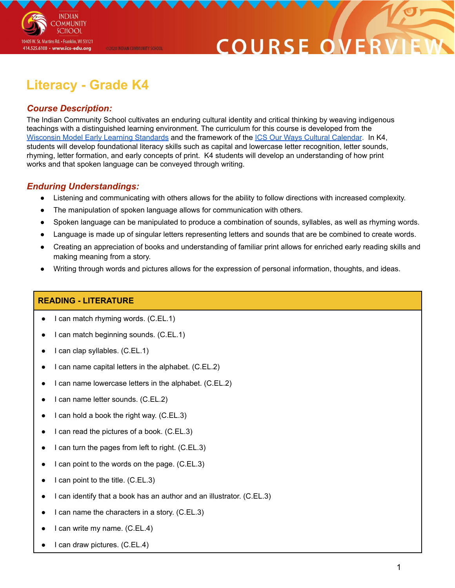

## **COURSE O**

### **Literacy - Grade K4**

@2020 INDIAN COMMUNITY SCHOOL

#### *Course Description:*

The Indian Community School cultivates an enduring cultural identity and critical thinking by weaving indigenous teachings with a distinguished learning environment. The curriculum for this course is developed from the [Wisconsin](https://dpi.wi.gov/sites/default/files/imce/early-childhood/pdf/wmels_5thedition.pdf) Model Early Learning Standards and the framework of the ICS Our Ways Cultural [Calendar](https://drive.google.com/open?id=0B7pONXiRIufTT3VHOXBBeG9USHMzbDNIUi1nV0NTbURCMFRZ). In K4, students will develop foundational literacy skills such as capital and lowercase letter recognition, letter sounds, rhyming, letter formation, and early concepts of print. K4 students will develop an understanding of how print works and that spoken language can be conveyed through writing.

#### *Enduring Understandings:*

- Listening and communicating with others allows for the ability to follow directions with increased complexity.
- The manipulation of spoken language allows for communication with others.
- Spoken language can be manipulated to produce a combination of sounds, syllables, as well as rhyming words.
- Language is made up of singular letters representing letters and sounds that are be combined to create words.
- Creating an appreciation of books and understanding of familiar print allows for enriched early reading skills and making meaning from a story.
- Writing through words and pictures allows for the expression of personal information, thoughts, and ideas.

#### **READING - LITERATURE**

- I can match rhyming words. (C.EL.1)
- I can match beginning sounds. (C.EL.1)
- I can clap syllables. (C.EL.1)
- I can name capital letters in the alphabet. (C.EL.2)
- I can name lowercase letters in the alphabet. (C.EL.2)
- I can name letter sounds. (C.EL.2)
- I can hold a book the right way. (C.EL.3)
- I can read the pictures of a book. (C.EL.3)
- I can turn the pages from left to right. (C.EL.3)
- I can point to the words on the page.  $(C.EL.3)$
- I can point to the title. (C.EL.3)
- I can identify that a book has an author and an illustrator. (C.EL.3)
- I can name the characters in a story.  $(C.EL.3)$
- I can write my name. (C.EL.4)
- I can draw pictures. (C.EL.4)